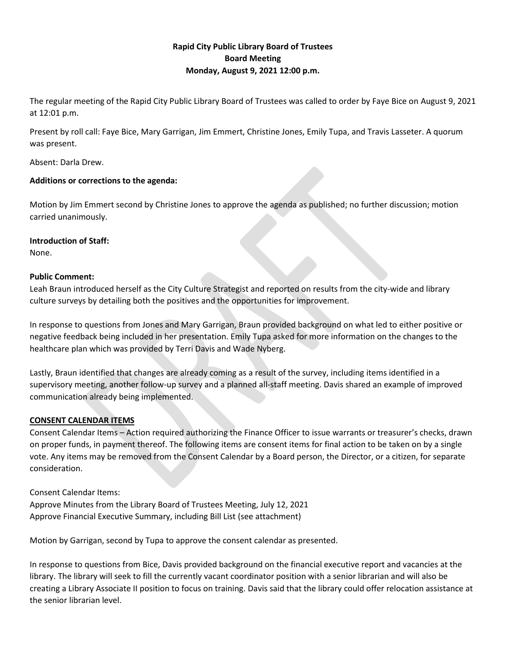## **Rapid City Public Library Board of Trustees Board Meeting Monday, August 9, 2021 12:00 p.m.**

The regular meeting of the Rapid City Public Library Board of Trustees was called to order by Faye Bice on August 9, 2021 at 12:01 p.m.

Present by roll call: Faye Bice, Mary Garrigan, Jim Emmert, Christine Jones, Emily Tupa, and Travis Lasseter. A quorum was present.

Absent: Darla Drew.

## **Additions or corrections to the agenda:**

Motion by Jim Emmert second by Christine Jones to approve the agenda as published; no further discussion; motion carried unanimously.

## **Introduction of Staff:**

None.

## **Public Comment:**

Leah Braun introduced herself as the City Culture Strategist and reported on results from the city-wide and library culture surveys by detailing both the positives and the opportunities for improvement.

In response to questions from Jones and Mary Garrigan, Braun provided background on what led to either positive or negative feedback being included in her presentation. Emily Tupa asked for more information on the changes to the healthcare plan which was provided by Terri Davis and Wade Nyberg.

Lastly, Braun identified that changes are already coming as a result of the survey, including items identified in a supervisory meeting, another follow-up survey and a planned all-staff meeting. Davis shared an example of improved communication already being implemented.

# **CONSENT CALENDAR ITEMS**

Consent Calendar Items – Action required authorizing the Finance Officer to issue warrants or treasurer's checks, drawn on proper funds, in payment thereof. The following items are consent items for final action to be taken on by a single vote. Any items may be removed from the Consent Calendar by a Board person, the Director, or a citizen, for separate consideration.

Consent Calendar Items: Approve Minutes from the Library Board of Trustees Meeting, July 12, 2021 Approve Financial Executive Summary, including Bill List (see attachment)

Motion by Garrigan, second by Tupa to approve the consent calendar as presented.

In response to questions from Bice, Davis provided background on the financial executive report and vacancies at the library. The library will seek to fill the currently vacant coordinator position with a senior librarian and will also be creating a Library Associate II position to focus on training. Davis said that the library could offer relocation assistance at the senior librarian level.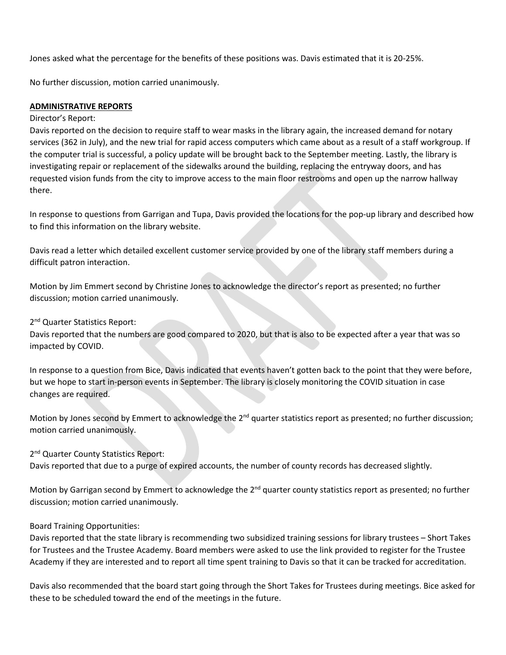Jones asked what the percentage for the benefits of these positions was. Davis estimated that it is 20-25%.

No further discussion, motion carried unanimously.

## **ADMINISTRATIVE REPORTS**

#### Director's Report:

Davis reported on the decision to require staff to wear masks in the library again, the increased demand for notary services (362 in July), and the new trial for rapid access computers which came about as a result of a staff workgroup. If the computer trial is successful, a policy update will be brought back to the September meeting. Lastly, the library is investigating repair or replacement of the sidewalks around the building, replacing the entryway doors, and has requested vision funds from the city to improve access to the main floor restrooms and open up the narrow hallway there.

In response to questions from Garrigan and Tupa, Davis provided the locations for the pop-up library and described how to find this information on the library website.

Davis read a letter which detailed excellent customer service provided by one of the library staff members during a difficult patron interaction.

Motion by Jim Emmert second by Christine Jones to acknowledge the director's report as presented; no further discussion; motion carried unanimously.

2<sup>nd</sup> Quarter Statistics Report:

Davis reported that the numbers are good compared to 2020, but that is also to be expected after a year that was so impacted by COVID.

In response to a question from Bice, Davis indicated that events haven't gotten back to the point that they were before, but we hope to start in-person events in September. The library is closely monitoring the COVID situation in case changes are required.

Motion by Jones second by Emmert to acknowledge the 2<sup>nd</sup> quarter statistics report as presented; no further discussion; motion carried unanimously.

2<sup>nd</sup> Quarter County Statistics Report:

Davis reported that due to a purge of expired accounts, the number of county records has decreased slightly.

Motion by Garrigan second by Emmert to acknowledge the 2<sup>nd</sup> quarter county statistics report as presented; no further discussion; motion carried unanimously.

### Board Training Opportunities:

Davis reported that the state library is recommending two subsidized training sessions for library trustees – Short Takes for Trustees and the Trustee Academy. Board members were asked to use the link provided to register for the Trustee Academy if they are interested and to report all time spent training to Davis so that it can be tracked for accreditation.

Davis also recommended that the board start going through the Short Takes for Trustees during meetings. Bice asked for these to be scheduled toward the end of the meetings in the future.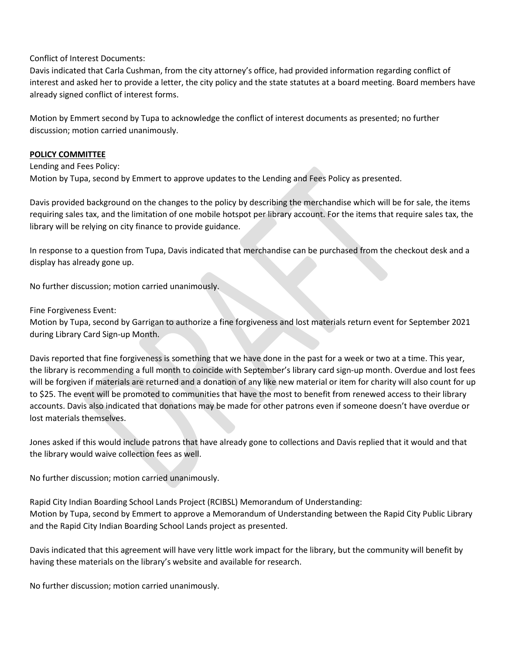Conflict of Interest Documents:

Davis indicated that Carla Cushman, from the city attorney's office, had provided information regarding conflict of interest and asked her to provide a letter, the city policy and the state statutes at a board meeting. Board members have already signed conflict of interest forms.

Motion by Emmert second by Tupa to acknowledge the conflict of interest documents as presented; no further discussion; motion carried unanimously.

## **POLICY COMMITTEE**

Lending and Fees Policy: Motion by Tupa, second by Emmert to approve updates to the Lending and Fees Policy as presented.

Davis provided background on the changes to the policy by describing the merchandise which will be for sale, the items requiring sales tax, and the limitation of one mobile hotspot per library account. For the items that require sales tax, the library will be relying on city finance to provide guidance.

In response to a question from Tupa, Davis indicated that merchandise can be purchased from the checkout desk and a display has already gone up.

No further discussion; motion carried unanimously.

Fine Forgiveness Event:

Motion by Tupa, second by Garrigan to authorize a fine forgiveness and lost materials return event for September 2021 during Library Card Sign-up Month.

Davis reported that fine forgiveness is something that we have done in the past for a week or two at a time. This year, the library is recommending a full month to coincide with September's library card sign-up month. Overdue and lost fees will be forgiven if materials are returned and a donation of any like new material or item for charity will also count for up to \$25. The event will be promoted to communities that have the most to benefit from renewed access to their library accounts. Davis also indicated that donations may be made for other patrons even if someone doesn't have overdue or lost materials themselves.

Jones asked if this would include patrons that have already gone to collections and Davis replied that it would and that the library would waive collection fees as well.

No further discussion; motion carried unanimously.

Rapid City Indian Boarding School Lands Project (RCIBSL) Memorandum of Understanding: Motion by Tupa, second by Emmert to approve a Memorandum of Understanding between the Rapid City Public Library and the Rapid City Indian Boarding School Lands project as presented.

Davis indicated that this agreement will have very little work impact for the library, but the community will benefit by having these materials on the library's website and available for research.

No further discussion; motion carried unanimously.